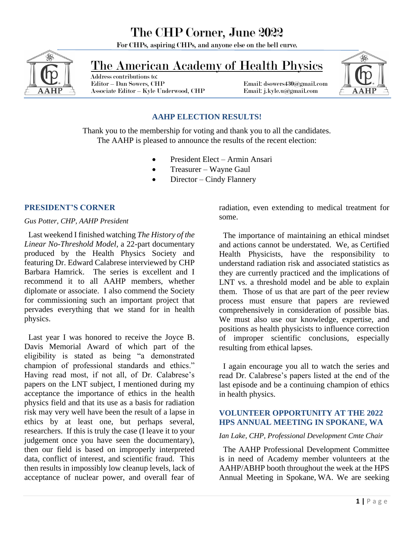# The CHP Corner, June 2022

For CHPs, aspiring CHPs, and anyone else on the bell curve.



# The American Academy of Health Physics

 Address contributions to: Associate Editor – Kyle Underwood, CHP Email: j.kyle.u@gmail.com

Email: dsowers430@gmail.com



## **AAHP ELECTION RESULTS!**

Thank you to the membership for voting and thank you to all the candidates. The AAHP is pleased to announce the results of the recent election:

- President Elect Armin Ansari
- Treasurer Wayne Gaul
- Director Cindy Flannery

#### **PRESIDENT'S CORNER**

#### *Gus Potter, CHP, AAHP President*

 Last weekend I finished watching *The History of the Linear No-Threshold Model*, a 22-part documentary produced by the Health Physics Society and featuring Dr. Edward Calabrese interviewed by CHP Barbara Hamrick. The series is excellent and I recommend it to all AAHP members, whether diplomate or associate. I also commend the Society for commissioning such an important project that pervades everything that we stand for in health physics.

 Last year I was honored to receive the Joyce B. Davis Memorial Award of which part of the eligibility is stated as being "a demonstrated champion of professional standards and ethics." Having read most, if not all, of Dr. Calabrese's papers on the LNT subject, I mentioned during my acceptance the importance of ethics in the health physics field and that its use as a basis for radiation risk may very well have been the result of a lapse in ethics by at least one, but perhaps several, researchers. If this is truly the case (I leave it to your judgement once you have seen the documentary), then our field is based on improperly interpreted data, conflict of interest, and scientific fraud. This then results in impossibly low cleanup levels, lack of acceptance of nuclear power, and overall fear of

radiation, even extending to medical treatment for some.

 The importance of maintaining an ethical mindset and actions cannot be understated. We, as Certified Health Physicists, have the responsibility to understand radiation risk and associated statistics as they are currently practiced and the implications of LNT vs. a threshold model and be able to explain them. Those of us that are part of the peer review process must ensure that papers are reviewed comprehensively in consideration of possible bias. We must also use our knowledge, expertise, and positions as health physicists to influence correction of improper scientific conclusions, especially resulting from ethical lapses.

 I again encourage you all to watch the series and read Dr. Calabrese's papers listed at the end of the last episode and be a continuing champion of ethics in health physics.

#### **VOLUNTEER OPPORTUNITY AT THE 2022 HPS ANNUAL MEETING IN SPOKANE, WA**

#### *Ian Lake, CHP, Professional Development Cmte Chair*

 The AAHP Professional Development Committee is in need of Academy member volunteers at the AAHP/ABHP booth throughout the week at the HPS Annual Meeting in Spokane, WA. We are seeking